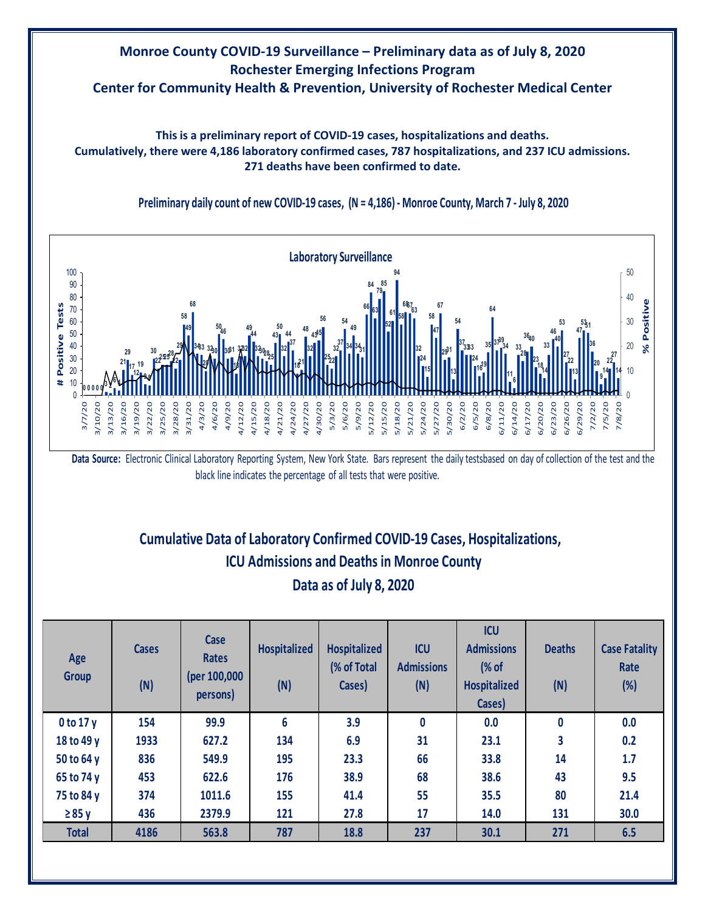## **Monroe County COVID-19 Surveillance – Preliminary data as of July 8, 2020 Rochester Emerging Infections Program Center for Community Health & Prevention, University of Rochester Medical Center**

**This is a preliminary report of COVID-19 cases, hospitalizations and deaths. Cumulatively, there were 4,186 laboratory confirmed cases, 787 hospitalizations, and 237 ICU admissions. 271 deaths have been confirmed to date.**



**Preliminary daily count of new COVID-19 cases, (N = 4,186) - Monroe County, March 7 - July 8, 2020**

# **Cumulative Data of Laboratory Confirmed COVID-19 Cases, Hospitalizations, Data as of July 8, 2020 ICU Admissions and Deaths in Monroe County**

| Age<br><b>Group</b> | <b>Cases</b><br>(N) | Case<br><b>Rates</b><br>(per 100,000<br>persons) | <b>Hospitalized</b><br>(N) | <b>Hospitalized</b><br>(% of Total<br>Cases) | <b>ICU</b><br><b>Admissions</b><br>(N) | <b>ICU</b><br><b>Admissions</b><br>$\frac{9}{6}$ of<br><b>Hospitalized</b><br>Cases) | <b>Deaths</b><br>(N) | <b>Case Fatality</b><br>Rate<br>(%) |
|---------------------|---------------------|--------------------------------------------------|----------------------------|----------------------------------------------|----------------------------------------|--------------------------------------------------------------------------------------|----------------------|-------------------------------------|
| 0 to 17y            | 154                 | 99.9                                             | 6                          | 3.9                                          | 0                                      | 0.0                                                                                  | 0                    | 0.0                                 |
| 18 to 49 y          | 1933                | 627.2                                            | 134                        | 6.9                                          | 31                                     | 23.1                                                                                 | 3                    | 0.2                                 |
| 50 to 64 y          | 836                 | 549.9                                            | 195                        | 23.3                                         | 66                                     | 33.8                                                                                 | 14                   | 1.7                                 |
| 65 to 74 y          | 453                 | 622.6                                            | 176                        | 38.9                                         | 68                                     | 38.6                                                                                 | 43                   | 9.5                                 |
| 75 to 84 y          | 374                 | 1011.6                                           | 155                        | 41.4                                         | 55                                     | 35.5                                                                                 | 80                   | 21.4                                |
| $\geq 85$ y         | 436                 | 2379.9                                           | 121                        | 27.8                                         | 17                                     | 14.0                                                                                 | 131                  | 30.0                                |
| <b>Total</b>        | 4186                | 563.8                                            | 787                        | 18.8                                         | 237                                    | 30.1                                                                                 | 271                  | 6.5                                 |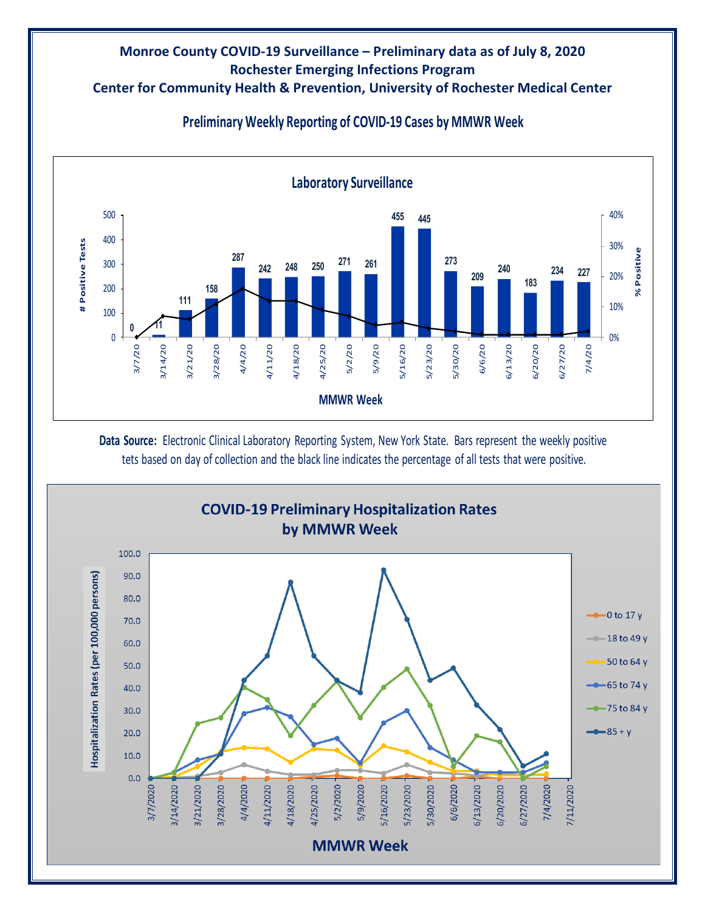#### **Monroe County COVID-19 Surveillance – Preliminary data as of July 8, 2020 Rochester Emerging Infections Program Center for Community Health & Prevention, University of Rochester Medical Center**



### **Preliminary Weekly Reporting of COVID-19 Cases by MMWR Week**

**Data Source:** Electronic Clinical Laboratory Reporting System, New York State. Bars represent the weekly positive tets based on day of collection and the black line indicates the percentage of all tests that were positive.